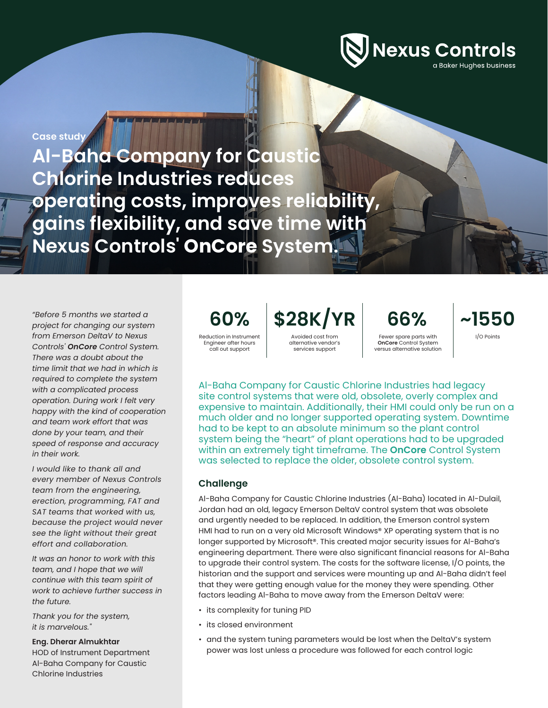

**Case study**

**Al-Baha Company for Caustic Chlorine Industries reduces operating costs, improves reliability, gains flexibility, and save time with Nexus Controls' OnCore System.**

*"Before 5 months we started a project for changing our system from Emerson DeltaV to Nexus Controls' OnCore Control System. There was a doubt about the time limit that we had in which is required to complete the system with a complicated process operation. During work I felt very happy with the kind of cooperation and team work effort that was done by your team, and their speed of response and accuracy in their work.*

*I would like to thank all and every member of Nexus Controls team from the engineering, erection, programming, FAT and SAT teams that worked with us, because the project would never see the light without their great effort and collaboration.*

*It was an honor to work with this team, and I hope that we will continue with this team spirit of work to achieve further success in the future.* 

*Thank you for the system, it is marvelous."*

**Eng. Dherar Almukhtar** HOD of Instrument Department Al-Baha Company for Caustic

Chlorine Industries

Reduction in Instrument

Engineer after hours call out support

**60% \$28K/YR** Avoided cost from

alternative vendor's services support

Fewer spare parts with **OnCore** Control System versus alternative solution

**66% ~1550**

I/O Points

Al-Baha Company for Caustic Chlorine Industries had legacy site control systems that were old, obsolete, overly complex and expensive to maintain. Additionally, their HMI could only be run on a much older and no longer supported operating system. Downtime had to be kept to an absolute minimum so the plant control system being the "heart" of plant operations had to be upgraded within an extremely tight timeframe. The **OnCore** Control System was selected to replace the older, obsolete control system.

## **Challenge**

Al-Baha Company for Caustic Chlorine Industries (Al-Baha) located in Al-Dulail, Jordan had an old, legacy Emerson DeltaV control system that was obsolete and urgently needed to be replaced. In addition, the Emerson control system HMI had to run on a very old Microsoft Windows® XP operating system that is no longer supported by Microsoft®. This created major security issues for Al-Baha's engineering department. There were also significant financial reasons for Al-Baha to upgrade their control system. The costs for the software license, I/O points, the historian and the support and services were mounting up and Al-Baha didn't feel that they were getting enough value for the money they were spending. Other factors leading Al-Baha to move away from the Emerson DeltaV were:

- its complexity for tuning PID
- its closed environment
- and the system tuning parameters would be lost when the DeltaV's system power was lost unless a procedure was followed for each control logic